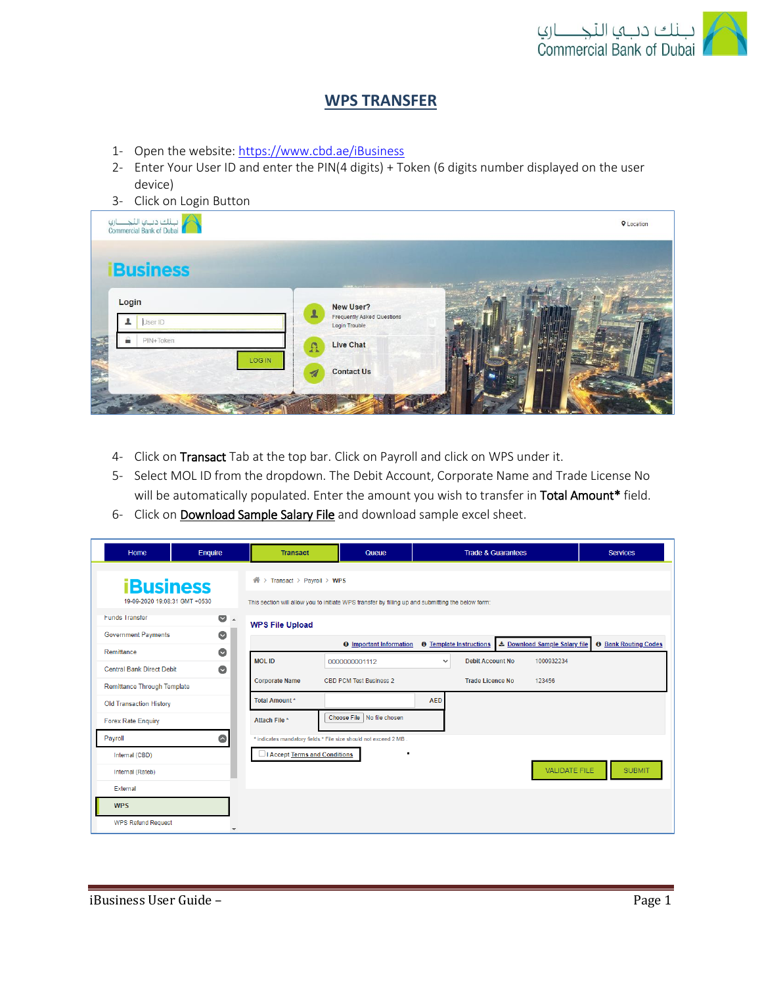

## **WPS TRANSFER**

- 1- Open the website:<https://www.cbd.ae/iBusiness>
- 2- Enter Your User ID and enter the PIN(4 digits) + Token (6 digits number displayed on the user device)
- 3- Click on Login Button

| ر بانك ديبها النجـــــــارها<br>Commercial Bank of Dubai |                                    |                                                                                       | <b>Q</b> Location |
|----------------------------------------------------------|------------------------------------|---------------------------------------------------------------------------------------|-------------------|
| <b>Business</b>                                          |                                    |                                                                                       |                   |
| Login<br>User ID                                         | $\mathbf{r}$                       | <b>NEWS AVENUE</b><br>New User?<br><b>Frequently Asked Questions</b><br>Login Trouble |                   |
| <b>BRIT</b>                                              | PIN+Token<br>$\Omega$              | <b>Live Chat</b>                                                                      |                   |
|                                                          | LOG IN<br>$\overline{\mathcal{A}}$ | <b>Contact Us</b><br><b>Card Comp</b>                                                 |                   |
|                                                          |                                    |                                                                                       |                   |

- 4- Click on Transact Tab at the top bar. Click on Payroll and click on WPS under it.
- 5- Select MOL ID from the dropdown. The Debit Account, Corporate Name and Trade License No will be automatically populated. Enter the amount you wish to transfer in Total Amount\* field.
- 6- Click on **Download Sample Salary File** and download sample excel sheet.

| Home                                                                   | Enquire                | <b>Transact</b>                 | Queue                                                                                             |                                                           | <b>Trade &amp; Guarantees</b>                | <b>Services</b>             |
|------------------------------------------------------------------------|------------------------|---------------------------------|---------------------------------------------------------------------------------------------------|-----------------------------------------------------------|----------------------------------------------|-----------------------------|
| <b>iBusiness</b><br>19-09-2020 19:08:31 GMT +0530                      |                        | 备<br>> Transact > Payroll > WPS | This section will allow you to initiate WPS transfer by filling up and submitting the below form: |                                                           |                                              |                             |
| Funds Transfer<br><b>Government Payments</b>                           | $\bullet$<br>$\bullet$ | <b>WPS File Upload</b>          |                                                                                                   |                                                           |                                              |                             |
| Remittance                                                             | $\bullet$              | <b>MOL ID</b>                   | <b>Q</b> Important Information                                                                    | <b>O</b> Template Instructions<br><b>Debit Account No</b> | Le Download Sample Salary file<br>1000932234 | <b>0</b> Bank Routing Codes |
| <b>Central Bank Direct Debit</b><br><b>Remittance Through Template</b> | $\bullet$              | <b>Corporate Name</b>           | 0000000001112<br>CBD PCM Test Business 2                                                          | $\checkmark$<br>Trade Licence No                          | 123456                                       |                             |
| <b>Old Transaction History</b>                                         |                        | <b>Total Amount*</b>            |                                                                                                   | <b>AED</b>                                                |                                              |                             |
| <b>Forex Rate Enquiry</b>                                              |                        | Attach File *                   | Choose File   No file chosen                                                                      |                                                           |                                              |                             |
| Payroll<br>Internal (CBD)                                              | $\bullet$              | I Accept Terms and Conditions   | * indicates mandatory fields.* File size should not exceed 2 MB.<br>٠                             |                                                           |                                              |                             |
| Internal (Rateb)                                                       |                        |                                 |                                                                                                   |                                                           | <b>VALIDATE FILE</b>                         | <b>SUBMIT</b>               |
| <b>WPS</b>                                                             |                        |                                 |                                                                                                   |                                                           |                                              |                             |
| External<br><b>WPS Refund Request</b>                                  |                        |                                 |                                                                                                   |                                                           |                                              |                             |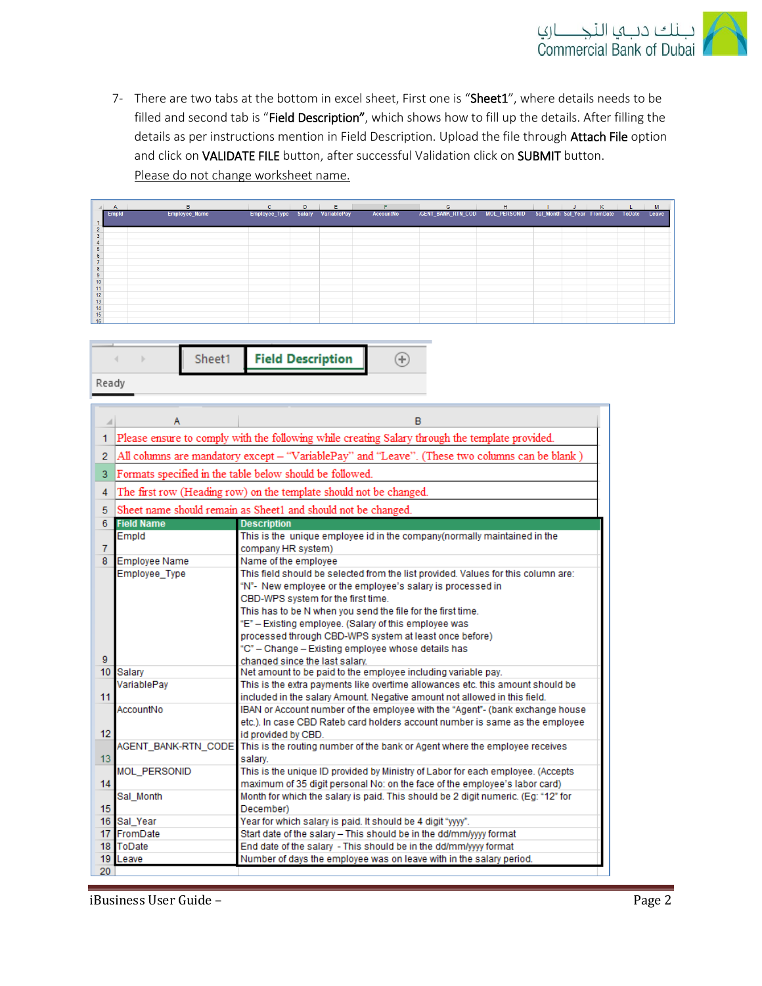

7- There are two tabs at the bottom in excel sheet, First one is "Sheet1", where details needs to be filled and second tab is "Field Description", which shows how to fill up the details. After filling the details as per instructions mention in Field Description. Upload the file through Attach File option and click on VALIDATE FILE button, after successful Validation click on SUBMIT button. Please do not change worksheet name.

|                                                                                            | B             | C.                               | D | E. | <b>F</b>  | $\mathsf{G}$                                                            | H | ∴J. | K | M |
|--------------------------------------------------------------------------------------------|---------------|----------------------------------|---|----|-----------|-------------------------------------------------------------------------|---|-----|---|---|
| Empld                                                                                      | Employee_Name | Employee_Type Salary VariablePay |   |    | AccountNo | GENT BANK RTN_COD MOL_PERSONID Sal Month Sal Year FromDate ToDate Leave |   |     |   |   |
|                                                                                            |               |                                  |   |    |           |                                                                         |   |     |   |   |
| $\overline{2}$                                                                             |               |                                  |   |    |           |                                                                         |   |     |   |   |
| 3                                                                                          |               |                                  |   |    |           |                                                                         |   |     |   |   |
|                                                                                            |               |                                  |   |    |           |                                                                         |   |     |   |   |
| 5                                                                                          |               |                                  |   |    |           |                                                                         |   |     |   |   |
| $\overline{6}$                                                                             |               |                                  |   |    |           |                                                                         |   |     |   |   |
|                                                                                            |               |                                  |   |    |           |                                                                         |   |     |   |   |
| $\bf 8$                                                                                    |               |                                  |   |    |           |                                                                         |   |     |   |   |
|                                                                                            |               |                                  |   |    |           |                                                                         |   |     |   |   |
|                                                                                            |               |                                  |   |    |           |                                                                         |   |     |   |   |
|                                                                                            |               |                                  |   |    |           |                                                                         |   |     |   |   |
|                                                                                            |               |                                  |   |    |           |                                                                         |   |     |   |   |
|                                                                                            |               |                                  |   |    |           |                                                                         |   |     |   |   |
|                                                                                            |               |                                  |   |    |           |                                                                         |   |     |   |   |
| $\frac{9}{10}$<br>$\frac{11}{12}$<br>$\frac{13}{14}$<br>$\frac{14}{15}$<br>$\frac{15}{16}$ |               |                                  |   |    |           |                                                                         |   |     |   |   |

|  |  | <b>neet1</b> Field Description |  |
|--|--|--------------------------------|--|
|  |  |                                |  |

Ready

|                  | A                                                                                               | в                                                                                               |  |  |  |  |  |  |
|------------------|-------------------------------------------------------------------------------------------------|-------------------------------------------------------------------------------------------------|--|--|--|--|--|--|
| 1                |                                                                                                 | Please ensure to comply with the following while creating Salary through the template provided. |  |  |  |  |  |  |
| $\overline{2}$   | All columns are mandatory except - "VariablePay" and "Leave". (These two columns can be blank ) |                                                                                                 |  |  |  |  |  |  |
| 3                |                                                                                                 | Formats specified in the table below should be followed.                                        |  |  |  |  |  |  |
| 4                |                                                                                                 | The first row (Heading row) on the template should not be changed.                              |  |  |  |  |  |  |
| 5                |                                                                                                 | Sheet name should remain as Sheet1 and should not be changed.                                   |  |  |  |  |  |  |
| 6                | <b>Field Name</b>                                                                               | <b>Description</b>                                                                              |  |  |  |  |  |  |
|                  | Empld                                                                                           | This is the unique employee id in the company (normally maintained in the                       |  |  |  |  |  |  |
| $\overline{7}$   |                                                                                                 | company HR system)                                                                              |  |  |  |  |  |  |
| 8                | <b>Employee Name</b>                                                                            | Name of the employee                                                                            |  |  |  |  |  |  |
|                  | Employee Type                                                                                   | This field should be selected from the list provided. Values for this column are:               |  |  |  |  |  |  |
|                  |                                                                                                 | "N"- New employee or the employee's salary is processed in                                      |  |  |  |  |  |  |
|                  |                                                                                                 | CBD-WPS system for the first time.                                                              |  |  |  |  |  |  |
|                  |                                                                                                 | This has to be N when you send the file for the first time.                                     |  |  |  |  |  |  |
|                  |                                                                                                 | "E" - Existing employee. (Salary of this employee was                                           |  |  |  |  |  |  |
|                  | processed through CBD-WPS system at least once before)                                          |                                                                                                 |  |  |  |  |  |  |
|                  | "C" - Change - Existing employee whose details has                                              |                                                                                                 |  |  |  |  |  |  |
| 9                |                                                                                                 | changed since the last salary.                                                                  |  |  |  |  |  |  |
| 10 <sup>10</sup> | Salary                                                                                          | Net amount to be paid to the employee including variable pay.                                   |  |  |  |  |  |  |
|                  | VariablePay                                                                                     | This is the extra payments like overtime allowances etc. this amount should be                  |  |  |  |  |  |  |
| 11               |                                                                                                 | included in the salary Amount. Negative amount not allowed in this field.                       |  |  |  |  |  |  |
|                  | AccountNo                                                                                       | IBAN or Account number of the employee with the "Agent"- (bank exchange house                   |  |  |  |  |  |  |
|                  |                                                                                                 | etc.). In case CBD Rateb card holders account number is same as the employee                    |  |  |  |  |  |  |
| 12 <sup>2</sup>  |                                                                                                 | id provided by CBD.                                                                             |  |  |  |  |  |  |
|                  | AGENT_BANK-RTN_CODE                                                                             | This is the routing number of the bank or Agent where the employee receives                     |  |  |  |  |  |  |
| 13 <sub>1</sub>  |                                                                                                 | salary.                                                                                         |  |  |  |  |  |  |
|                  | <b>MOL PERSONID</b>                                                                             | This is the unique ID provided by Ministry of Labor for each employee. (Accepts                 |  |  |  |  |  |  |
| 14               |                                                                                                 | maximum of 35 digit personal No: on the face of the employee's labor card)                      |  |  |  |  |  |  |
|                  | Sal Month                                                                                       | Month for which the salary is paid. This should be 2 digit numeric. (Eq: "12" for               |  |  |  |  |  |  |
| 15               | December)                                                                                       |                                                                                                 |  |  |  |  |  |  |
|                  | 16 Sal Year                                                                                     | Year for which salary is paid. It should be 4 digit "yyyy".                                     |  |  |  |  |  |  |
| 17               | FromDate                                                                                        | Start date of the salary - This should be in the dd/mm/yyy format                               |  |  |  |  |  |  |
| 18               | ToDate                                                                                          | End date of the salary - This should be in the dd/mm/yyy format                                 |  |  |  |  |  |  |
| 19               | Leave                                                                                           | Number of days the employee was on leave with in the salary period.                             |  |  |  |  |  |  |
| 20               |                                                                                                 |                                                                                                 |  |  |  |  |  |  |

iBusiness User Guide – Page 2